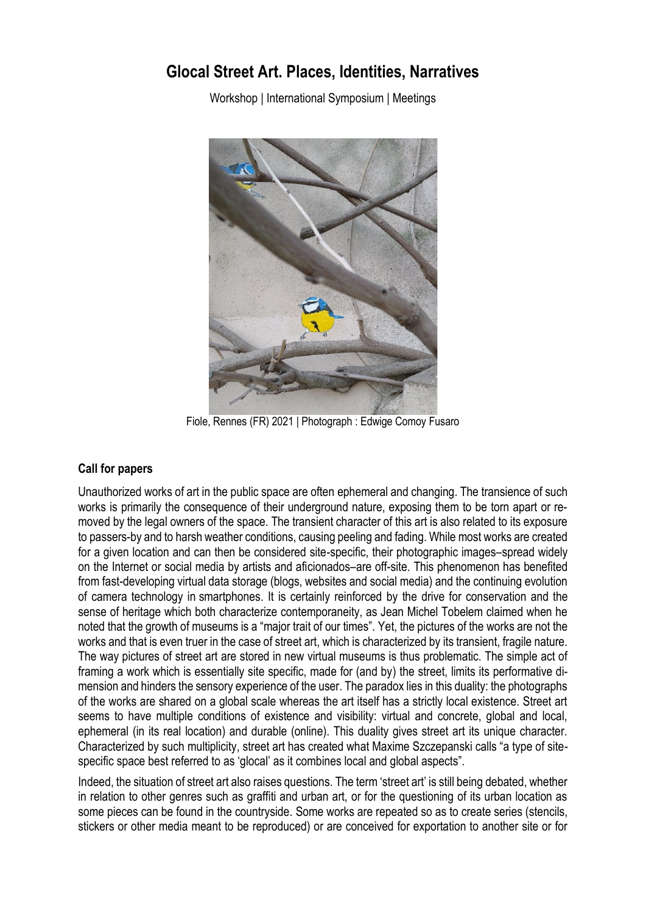## **Glocal Street Art. Places, Identities, Narratives**

Workshop | International Symposium | Meetings



Fiole, Rennes (FR) 2021 | Photograph : Edwige Comoy Fusaro

## **Call for papers**

Unauthorized works of art in the public space are often ephemeral and changing. The transience of such works is primarily the consequence of their underground nature, exposing them to be torn apart or removed by the legal owners of the space. The transient character of this art is also related to its exposure to passers-by and to harsh weather conditions, causing peeling and fading. While most works are created for a given location and can then be considered site-specific, their photographic images–spread widely on the Internet or social media by artists and aficionados–are off-site. This phenomenon has benefited from fast-developing virtual data storage (blogs, websites and social media) and the continuing evolution of camera technology in smartphones. It is certainly reinforced by the drive for conservation and the sense of heritage which both characterize contemporaneity, as Jean Michel Tobelem claimed when he noted that the growth of museums is a "major trait of our times". Yet, the pictures of the works are not the works and that is even truer in the case of street art, which is characterized by its transient, fragile nature. The way pictures of street art are stored in new virtual museums is thus problematic. The simple act of framing a work which is essentially site specific, made for (and by) the street, limits its performative dimension and hinders the sensory experience of the user. The paradox lies in this duality: the photographs of the works are shared on a global scale whereas the art itself has a strictly local existence. Street art seems to have multiple conditions of existence and visibility: virtual and concrete, global and local, ephemeral (in its real location) and durable (online). This duality gives street art its unique character. Characterized by such multiplicity, street art has created what Maxime Szczepanski calls "a type of sitespecific space best referred to as 'glocal' as it combines local and global aspects".

Indeed, the situation of street art also raises questions. The term 'street art' is still being debated, whether in relation to other genres such as graffiti and urban art, or for the questioning of its urban location as some pieces can be found in the countryside. Some works are repeated so as to create series (stencils, stickers or other media meant to be reproduced) or are conceived for exportation to another site or for